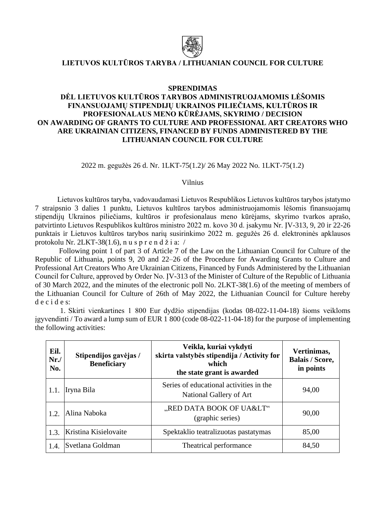

## **LIETUVOS KULTŪROS TARYBA / LITHUANIAN COUNCIL FOR CULTURE**

## **SPRENDIMAS**

## **DĖL LIETUVOS KULTŪROS TARYBOS ADMINISTRUOJAMOMIS LĖŠOMIS FINANSUOJAMŲ STIPENDIJŲ UKRAINOS PILIEČIAMS, KULTŪROS IR PROFESIONALAUS MENO KŪRĖJAMS, SKYRIMO / DECISION ON AWARDING OF GRANTS TO CULTURE AND PROFESSIONAL ART CREATORS WHO ARE UKRAINIAN CITIZENS, FINANCED BY FUNDS ADMINISTERED BY THE LITHUANIAN COUNCIL FOR CULTURE**

2022 m. gegužės 26 d. Nr. 1LKT-75(1.2)/ 26 May 2022 No. 1LKT-75(1.2)

Vilnius

Lietuvos kultūros taryba, vadovaudamasi Lietuvos Respublikos Lietuvos kultūros tarybos įstatymo 7 straipsnio 3 dalies 1 punktu, Lietuvos kultūros tarybos administruojamomis lėšomis finansuojamų stipendijų Ukrainos piliečiams, kultūros ir profesionalaus meno kūrėjams, skyrimo tvarkos aprašo, patvirtinto Lietuvos Respublikos kultūros ministro 2022 m. kovo 30 d. įsakymu Nr. ĮV-313, 9, 20 ir 22-26 punktais ir Lietuvos kultūros tarybos narių susirinkimo 2022 m. gegužės 26 d. elektroninės apklausos protokolu Nr. 2LKT-38(1.6), n u s p r e n d ž i a: /

Following point 1 of part 3 of Article 7 of the Law on the Lithuanian Council for Culture of the Republic of Lithuania, points 9, 20 and 22–26 of the Procedure for Awarding Grants to Culture and Professional Art Creators Who Are Ukrainian Citizens, Financed by Funds Administered by the Lithuanian Council for Culture, approved by Order No. ĮV-313 of the Minister of Culture of the Republic of Lithuania of 30 March 2022, and the minutes of the electronic poll No. 2LKT-38(1.6) of the meeting of members of the Lithuanian Council for Culture of 26th of May 2022, the Lithuanian Council for Culture hereby d e c i d e s:

1. Skirti vienkartines 1 800 Eur dydžio stipendijas (kodas 08-022-11-04-18) šioms veikloms įgyvendinti / To award a lump sum of EUR 1 800 (code 08-022-11-04-18) for the purpose of implementing the following activities:

| Eil.<br>Nr.<br>No. | Stipendijos gavėjas /<br><b>Beneficiary</b> | Veikla, kuriai vykdyti<br>skirta valstybės stipendija / Activity for<br>which<br>the state grant is awarded | Vertinimas,<br><b>Balais / Score,</b><br>in points |
|--------------------|---------------------------------------------|-------------------------------------------------------------------------------------------------------------|----------------------------------------------------|
| 1.1.               | Iryna Bila                                  | Series of educational activities in the<br>National Gallery of Art                                          | 94,00                                              |
| 1.2.               | Alina Naboka                                | "RED DATA BOOK OF UA<"<br>(graphic series)                                                                  | 90,00                                              |
| 1.3.               | Kristina Kisielovaite                       | Spektaklio teatralizuotas pastatymas                                                                        | 85,00                                              |
| 1.4.               | Svetlana Goldman                            | Theatrical performance                                                                                      | 84,50                                              |